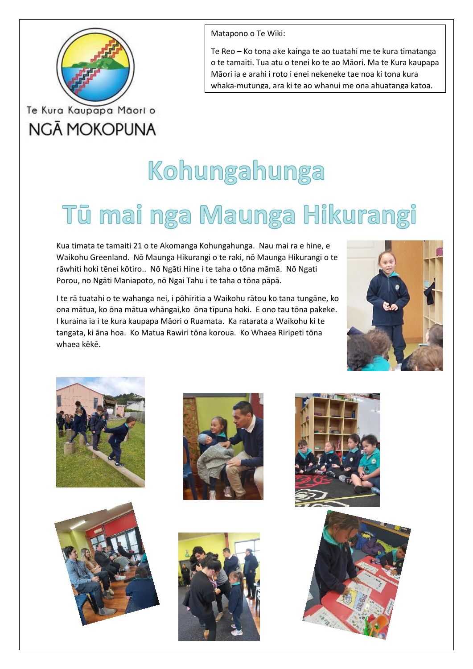

## Te Kura Kaupapa Māori o **NGĀ MOKOPUNA**

Matapono o Te Wiki:

Te Reo – Ko tona ake kainga te ao tuatahi me te kura timatanga o te tamaiti. Tua atu o tenei ko te ao Māori. Ma te Kura kaupapa Māori ia e arahi i roto i enei nekeneke tae noa ki tona kura whaka-mutunga, ara ki te ao whanui me ona ahuatanga katoa.

# Kohungahunga

## Tū mai nga Maunga Hikurangi

Kua timata te tamaiti 21 o te Akomanga Kohungahunga. Nau mai ra e hine, e Waikohu Greenland. Nō Maunga Hikurangi o te raki, nō Maunga Hikurangi o te rāwhiti hoki tēnei kōtiro.. Nō Ngāti Hine i te taha o tōna māmā. Nō Ngati Porou, no Ngāti Maniapoto, nō Ngai Tahu i te taha o tōna pāpā.

I te rā tuatahi o te wahanga nei, i pōhiritia a Waikohu rātou ko tana tungāne, ko ona mātua, ko ōna mātua whāngai,ko ōna tīpuna hoki. E ono tau tōna pakeke. I kuraina ia i te kura kaupapa Māori o Ruamata. Ka ratarata a Waikohu ki te tangata, ki āna hoa. Ko Matua Rawiri tōna koroua. Ko Whaea Riripeti tōna whaea kēkē.













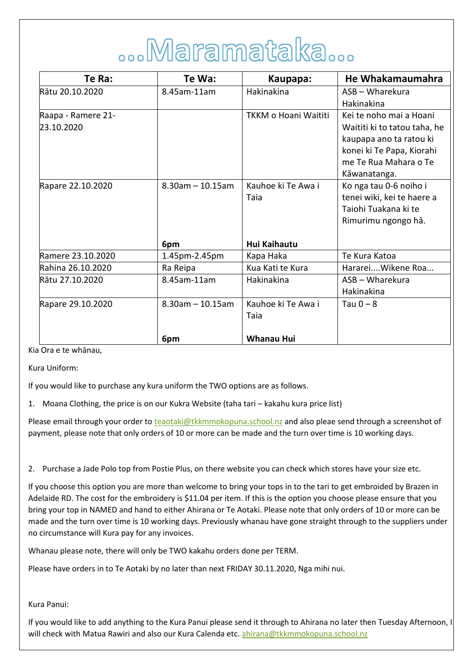# ...Maramataka...

| Te Ra:             | Te Wa:                 | Kaupapa:                    | He Whakamaumahra             |
|--------------------|------------------------|-----------------------------|------------------------------|
| Rātu 20.10.2020    | 8.45am-11am            | Hakinakina                  | ASB - Wharekura              |
|                    |                        |                             | Hakinakina                   |
| Raapa - Ramere 21- |                        | <b>TKKM o Hoani Waititi</b> | Kei te noho mai a Hoani      |
| 23.10.2020         |                        |                             | Waititi ki to tatou taha, he |
|                    |                        |                             | kaupapa ano ta ratou ki      |
|                    |                        |                             | konei ki Te Papa, Kiorahi    |
|                    |                        |                             | me Te Rua Mahara o Te        |
|                    |                        |                             | Kāwanatanga.                 |
| Rapare 22.10.2020  | $8.30$ am $- 10.15$ am | Kauhoe ki Te Awa i          | Ko nga tau 0-6 noiho i       |
|                    |                        | Taia                        | tenei wiki, kei te haere a   |
|                    |                        |                             | Taiohi Tuakana ki te         |
|                    |                        |                             | Rimurimu ngongo hā.          |
|                    |                        |                             |                              |
|                    | 6pm                    | Hui Kaihautu                |                              |
| Ramere 23.10.2020  | 1.45pm-2.45pm          | Kapa Haka                   | Te Kura Katoa                |
| Rahina 26.10.2020  | Ra Reipa               | Kua Kati te Kura            | Hararei Wikene Roa           |
| Rātu 27.10.2020    | 8.45am-11am            | Hakinakina                  | ASB - Wharekura              |
|                    |                        |                             | Hakinakina                   |
| Rapare 29.10.2020  | $8.30$ am $- 10.15$ am | Kauhoe ki Te Awa i          | Tau $0 - 8$                  |
|                    |                        | Taia                        |                              |
|                    |                        |                             |                              |
|                    | 6pm                    | <b>Whanau Hui</b>           |                              |

Kia Ora e te whānau,

Kura Uniform:

If you would like to purchase any kura uniform the TWO options are as follows.

1. Moana Clothing, the price is on our Kukra Website (taha tari – kakahu kura price list)

Please email through your order to *teaotaki@tkkmmokopuna.school.nz* and also pleae send through a screenshot of payment, please note that only orders of 10 or more can be made and the turn over time is 10 working days.

2. Purchase a Jade Polo top from Postie Plus, on there website you can check which stores have your size etc.

If you choose this option you are more than welcome to bring your tops in to the tari to get embroided by Brazen in Adelaide RD. The cost for the embroidery is \$11.04 per item. If this is the option you choose please ensure that you bring your top in NAMED and hand to either Ahirana or Te Aotaki. Please note that only orders of 10 or more can be made and the turn over time is 10 working days. Previously whanau have gone straight through to the suppliers under no circumstance will Kura pay for any invoices.

Whanau please note, there will only be TWO kakahu orders done per TERM.

Please have orders in to Te Aotaki by no later than next FRIDAY 30.11.2020, Nga mihi nui.

Kura Panui:

If you would like to add anything to the Kura Panui please send it through to Ahirana no later then Tuesday Afternoon, I will check with Matua Rawiri and also our Kura Calenda etc[. ahirana@tkkmmokopuna.school.nz](mailto:ahirana@tkkmmokopuna.school.nz)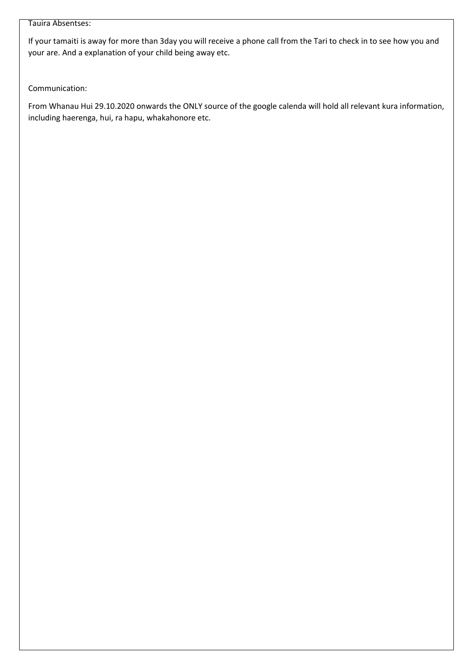#### Tauira Absentses:

If your tamaiti is away for more than 3day you will receive a phone call from the Tari to check in to see how you and your are. And a explanation of your child being away etc.

Communication:

From Whanau Hui 29.10.2020 onwards the ONLY source of the google calenda will hold all relevant kura information, including haerenga, hui, ra hapu, whakahonore etc.